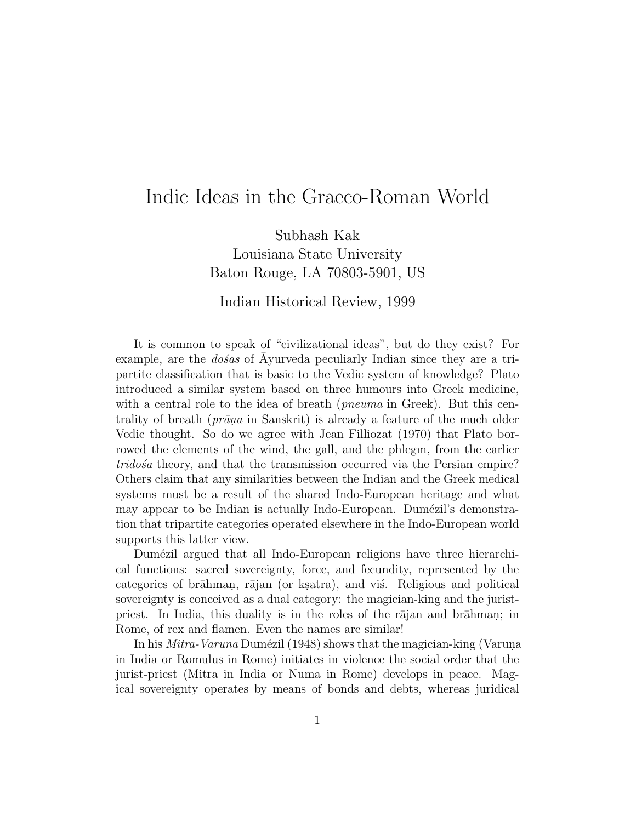# Indic Ideas in the Graeco-Roman World

Subhash Kak Louisiana State University Baton Rouge, LA 70803-5901, US

#### Indian Historical Review, 1999

It is common to speak of "civilizational ideas", but do they exist? For example, are the  $\text{do}\xspace$  as of Ayurveda peculiarly Indian since they are a tripartite classification that is basic to the Vedic system of knowledge? Plato introduced a similar system based on three humours into Greek medicine, with a central role to the idea of breath (*pneuma* in Greek). But this centrality of breath ( $prāna$  in Sanskrit) is already a feature of the much older Vedic thought. So do we agree with Jean Filliozat (1970) that Plato borrowed the elements of the wind, the gall, and the phlegm, from the earlier tridosa theory, and that the transmission occurred via the Persian empire? Others claim that any similarities between the Indian and the Greek medical systems must be a result of the shared Indo-European heritage and what may appear to be Indian is actually Indo-European. Dumézil's demonstration that tripartite categories operated elsewhere in the Indo-European world supports this latter view.

Dumézil argued that all Indo-European religions have three hierarchical functions: sacred sovereignty, force, and fecundity, represented by the categories of brāhman, rājan (or kṣatra), and vis. Religious and political sovereignty is conceived as a dual category: the magician-king and the juristpriest. In India, this duality is in the roles of the rajan and brahman; in Rome, of rex and flamen. Even the names are similar!

In his *Mitra-Varuna* Dumézil (1948) shows that the magician-king (Varuna in India or Romulus in Rome) initiates in violence the social order that the jurist-priest (Mitra in India or Numa in Rome) develops in peace. Magical sovereignty operates by means of bonds and debts, whereas juridical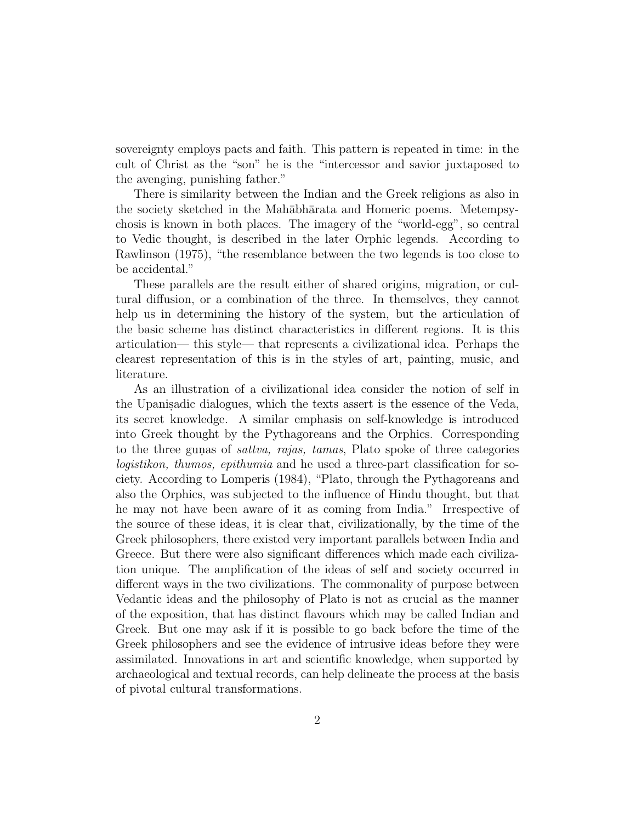sovereignty employs pacts and faith. This pattern is repeated in time: in the cult of Christ as the "son" he is the "intercessor and savior juxtaposed to the avenging, punishing father."

There is similarity between the Indian and the Greek religions as also in the society sketched in the Mahābhārata and Homeric poems. Metempsychosis is known in both places. The imagery of the "world-egg", so central to Vedic thought, is described in the later Orphic legends. According to Rawlinson (1975), "the resemblance between the two legends is too close to be accidental."

These parallels are the result either of shared origins, migration, or cultural diffusion, or a combination of the three. In themselves, they cannot help us in determining the history of the system, but the articulation of the basic scheme has distinct characteristics in different regions. It is this articulation— this style— that represents a civilizational idea. Perhaps the clearest representation of this is in the styles of art, painting, music, and literature.

As an illustration of a civilizational idea consider the notion of self in the Upanisadic dialogues, which the texts assert is the essence of the Veda, its secret knowledge. A similar emphasis on self-knowledge is introduced into Greek thought by the Pythagoreans and the Orphics. Corresponding to the three gunas of *sattva*, rajas, tamas, Plato spoke of three categories logistikon, thumos, epithumia and he used a three-part classification for society. According to Lomperis (1984), "Plato, through the Pythagoreans and also the Orphics, was subjected to the influence of Hindu thought, but that he may not have been aware of it as coming from India." Irrespective of the source of these ideas, it is clear that, civilizationally, by the time of the Greek philosophers, there existed very important parallels between India and Greece. But there were also significant differences which made each civilization unique. The amplification of the ideas of self and society occurred in different ways in the two civilizations. The commonality of purpose between Vedantic ideas and the philosophy of Plato is not as crucial as the manner of the exposition, that has distinct flavours which may be called Indian and Greek. But one may ask if it is possible to go back before the time of the Greek philosophers and see the evidence of intrusive ideas before they were assimilated. Innovations in art and scientific knowledge, when supported by archaeological and textual records, can help delineate the process at the basis of pivotal cultural transformations.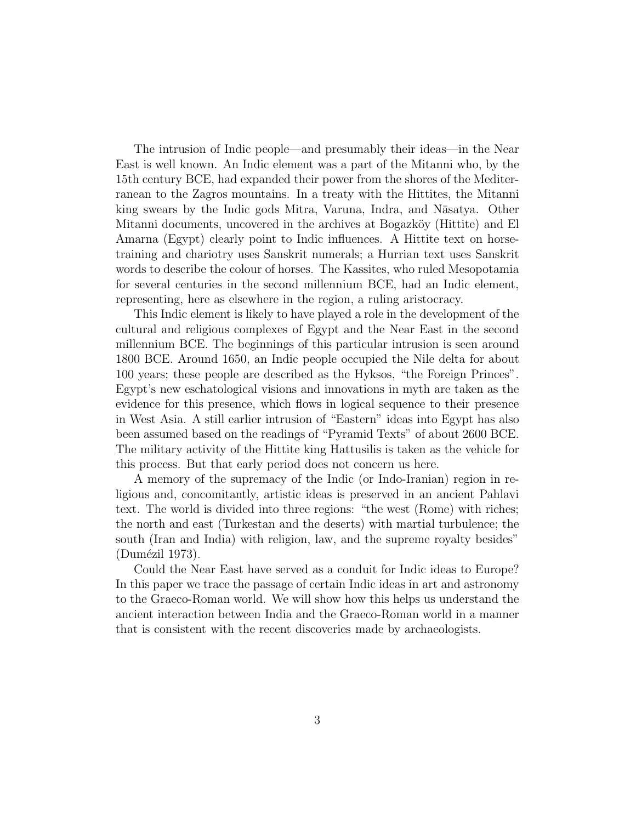The intrusion of Indic people—and presumably their ideas—in the Near East is well known. An Indic element was a part of the Mitanni who, by the 15th century BCE, had expanded their power from the shores of the Mediterranean to the Zagros mountains. In a treaty with the Hittites, the Mitanni king swears by the Indic gods Mitra, Varuna, Indra, and Nāsatya. Other Mitanni documents, uncovered in the archives at Bogazköy (Hittite) and El Amarna (Egypt) clearly point to Indic influences. A Hittite text on horsetraining and chariotry uses Sanskrit numerals; a Hurrian text uses Sanskrit words to describe the colour of horses. The Kassites, who ruled Mesopotamia for several centuries in the second millennium BCE, had an Indic element, representing, here as elsewhere in the region, a ruling aristocracy.

This Indic element is likely to have played a role in the development of the cultural and religious complexes of Egypt and the Near East in the second millennium BCE. The beginnings of this particular intrusion is seen around 1800 BCE. Around 1650, an Indic people occupied the Nile delta for about 100 years; these people are described as the Hyksos, "the Foreign Princes". Egypt's new eschatological visions and innovations in myth are taken as the evidence for this presence, which flows in logical sequence to their presence in West Asia. A still earlier intrusion of "Eastern" ideas into Egypt has also been assumed based on the readings of "Pyramid Texts" of about 2600 BCE. The military activity of the Hittite king Hattusilis is taken as the vehicle for this process. But that early period does not concern us here.

A memory of the supremacy of the Indic (or Indo-Iranian) region in religious and, concomitantly, artistic ideas is preserved in an ancient Pahlavi text. The world is divided into three regions: "the west (Rome) with riches; the north and east (Turkestan and the deserts) with martial turbulence; the south (Iran and India) with religion, law, and the supreme royalty besides" (Dumézil 1973).

Could the Near East have served as a conduit for Indic ideas to Europe? In this paper we trace the passage of certain Indic ideas in art and astronomy to the Graeco-Roman world. We will show how this helps us understand the ancient interaction between India and the Graeco-Roman world in a manner that is consistent with the recent discoveries made by archaeologists.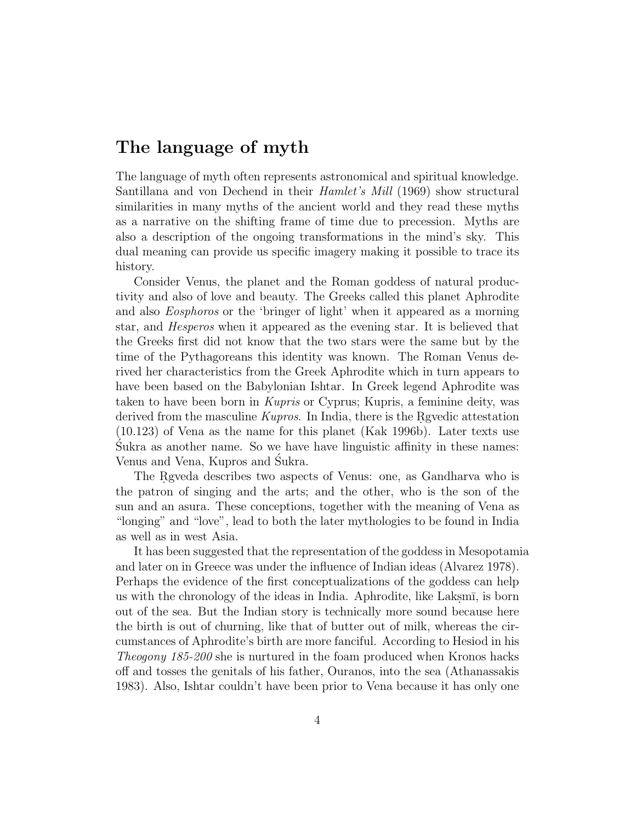## **The language of myth**

The language of myth often represents astronomical and spiritual knowledge. Santillana and von Dechend in their Hamlet's Mill (1969) show structural similarities in many myths of the ancient world and they read these myths as a narrative on the shifting frame of time due to precession. Myths are also a description of the ongoing transformations in the mind's sky. This dual meaning can provide us specific imagery making it possible to trace its history.

Consider Venus, the planet and the Roman goddess of natural productivity and also of love and beauty. The Greeks called this planet Aphrodite and also Eosphoros or the 'bringer of light' when it appeared as a morning star, and Hesperos when it appeared as the evening star. It is believed that the Greeks first did not know that the two stars were the same but by the time of the Pythagoreans this identity was known. The Roman Venus derived her characteristics from the Greek Aphrodite which in turn appears to have been based on the Babylonian Ishtar. In Greek legend Aphrodite was taken to have been born in Kupris or Cyprus; Kupris, a feminine deity, was derived from the masculine  $Kupros$ . In India, there is the Rgvedic attestation (10.123) of Vena as the name for this planet (Kak 1996b). Later texts use Sukra as another name. So we have have linguistic affinity in these names: ´ Venus and Vena, Kupros and Sukra. ´

The Rgveda describes two aspects of Venus: one, as Gandharva who is the patron of singing and the arts; and the other, who is the son of the sun and an asura. These conceptions, together with the meaning of Vena as "longing" and "love", lead to both the later mythologies to be found in India as well as in west Asia.

It has been suggested that the representation of the goddess in Mesopotamia and later on in Greece was under the influence of Indian ideas (Alvarez 1978). Perhaps the evidence of the first conceptualizations of the goddess can help us with the chronology of the ideas in India. Aphrodite, like Laksm $\bar{\mathrm{i}}$ , is born out of the sea. But the Indian story is technically more sound because here the birth is out of churning, like that of butter out of milk, whereas the circumstances of Aphrodite's birth are more fanciful. According to Hesiod in his Theogony 185-200 she is nurtured in the foam produced when Kronos hacks off and tosses the genitals of his father, Ouranos, into the sea (Athanassakis 1983). Also, Ishtar couldn't have been prior to Vena because it has only one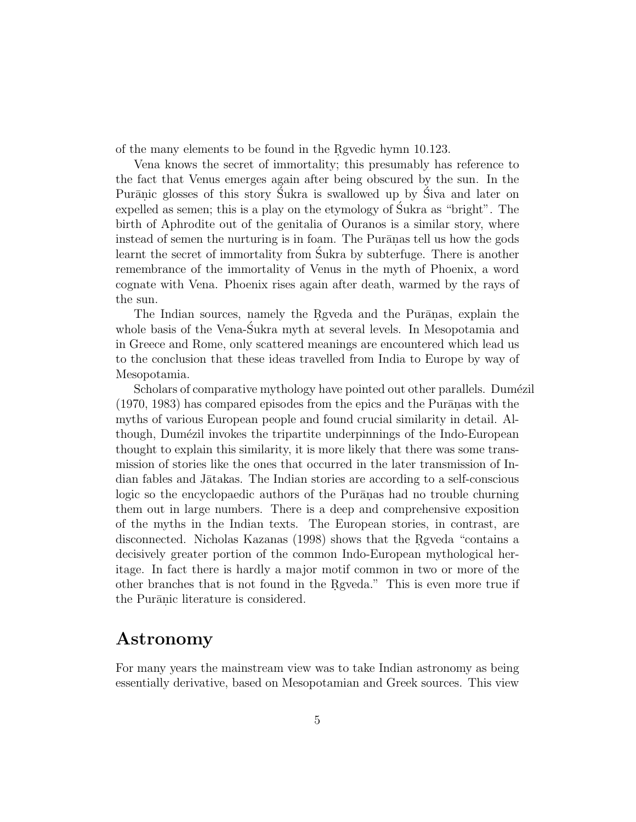of the many elements to be found in the Revedic hymn 10.123.

Vena knows the secret of immortality; this presumably has reference to the fact that Venus emerges again after being obscured by the sun. In the Purānic glosses of this story Sukra is swallowed up by Siva and later on expelled as semen; this is a play on the etymology of Sukra as "bright". The birth of Aphrodite out of the genitalia of Ouranos is a similar story, where instead of semen the nurturing is in foam. The Puranas tell us how the gods learnt the secret of immortality from Sukra by subterfuge. There is another remembrance of the immortality of Venus in the myth of Phoenix, a word cognate with Vena. Phoenix rises again after death, warmed by the rays of the sun.

The Indian sources, namely the Rgyeda and the Purānas, explain the whole basis of the Vena-Sukra myth at several levels. In Mesopotamia and ´ in Greece and Rome, only scattered meanings are encountered which lead us to the conclusion that these ideas travelled from India to Europe by way of Mesopotamia.

Scholars of comparative mythology have pointed out other parallels. Dumézil  $(1970, 1983)$  has compared episodes from the epics and the Purānas with the myths of various European people and found crucial similarity in detail. Although, Dumézil invokes the tripartite underpinnings of the Indo-European thought to explain this similarity, it is more likely that there was some transmission of stories like the ones that occurred in the later transmission of Indian fables and Jātakas. The Indian stories are according to a self-conscious logic so the encyclopaedic authors of the Purānas had no trouble churning them out in large numbers. There is a deep and comprehensive exposition of the myths in the Indian texts. The European stories, in contrast, are disconnected. Nicholas Kazanas (1998) shows that the Regueda "contains a decisively greater portion of the common Indo-European mythological heritage. In fact there is hardly a major motif common in two or more of the other branches that is not found in the Rgveda." This is even more true if the Purānic literature is considered.

### **Astronomy**

For many years the mainstream view was to take Indian astronomy as being essentially derivative, based on Mesopotamian and Greek sources. This view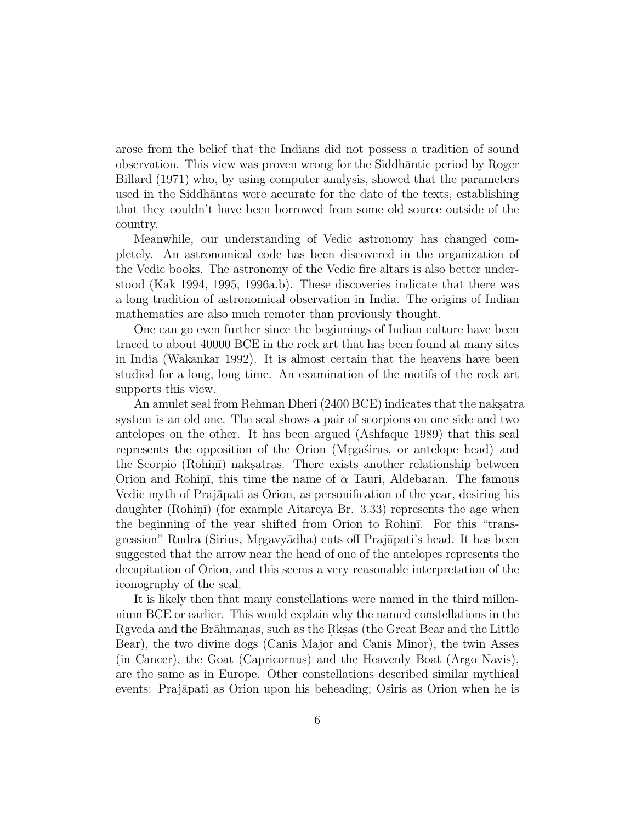arose from the belief that the Indians did not possess a tradition of sound observation. This view was proven wrong for the Siddhantic period by Roger Billard (1971) who, by using computer analysis, showed that the parameters used in the Siddh $\overline{a}$ ntas were accurate for the date of the texts, establishing that they couldn't have been borrowed from some old source outside of the country.

Meanwhile, our understanding of Vedic astronomy has changed completely. An astronomical code has been discovered in the organization of the Vedic books. The astronomy of the Vedic fire altars is also better understood (Kak 1994, 1995, 1996a,b). These discoveries indicate that there was a long tradition of astronomical observation in India. The origins of Indian mathematics are also much remoter than previously thought.

One can go even further since the beginnings of Indian culture have been traced to about 40000 BCE in the rock art that has been found at many sites in India (Wakankar 1992). It is almost certain that the heavens have been studied for a long, long time. An examination of the motifs of the rock art supports this view.

An amulet seal from Rehman Dheri (2400 BCE) indicates that the naksatra system is an old one. The seal shows a pair of scorpions on one side and two antelopes on the other. It has been argued (Ashfaque 1989) that this seal represents the opposition of the Orion (Mrgasiras, or antelope head) and the Scorpio (Rohini) nakslatras. There exists another relationship between Orion and Rohin, this time the name of  $\alpha$  Tauri, Aldebaran. The famous Vedic myth of Prajāpati as Orion, as personification of the year, desiring his daughter (Rohin $\bar{\text{i}}$ ) (for example Aitareya Br. 3.33) represents the age when the beginning of the year shifted from Orion to Rohini. For this "transgression" Rudra (Sirius, Mrgavyādha) cuts off Prajāpati's head. It has been suggested that the arrow near the head of one of the antelopes represents the decapitation of Orion, and this seems a very reasonable interpretation of the iconography of the seal.

It is likely then that many constellations were named in the third millennium BCE or earlier. This would explain why the named constellations in the Regueda and the Brahmanas, such as the Rks. (the Great Bear and the Little Bear), the two divine dogs (Canis Major and Canis Minor), the twin Asses (in Cancer), the Goat (Capricornus) and the Heavenly Boat (Argo Navis), are the same as in Europe. Other constellations described similar mythical events: Prajāpati as Orion upon his beheading; Osiris as Orion when he is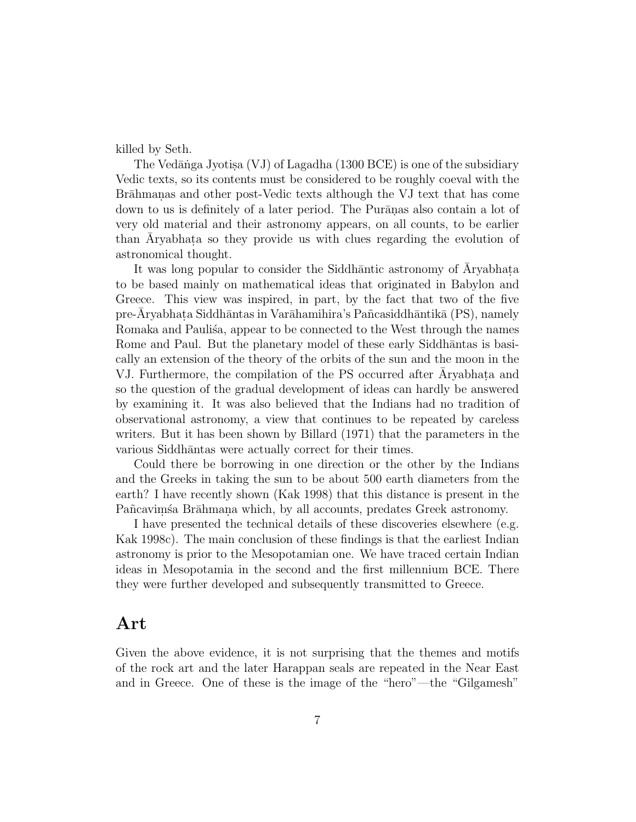killed by Seth.

The Vedānga Jyotisa  $(VJ)$  of Lagadha (1300 BCE) is one of the subsidiary Vedic texts, so its contents must be considered to be roughly coeval with the Brāhmanas and other post-Vedic texts although the VJ text that has come down to us is definitely of a later period. The Puranas also contain a lot of very old material and their astronomy appears, on all counts, to be earlier than Aryabhata so they provide us with clues regarding the evolution of astronomical thought.

It was long popular to consider the Siddhantic astronomy of Aryabhata to be based mainly on mathematical ideas that originated in Babylon and Greece. This view was inspired, in part, by the fact that two of the five pre-Aryabhata Siddhāntas in Varāhamihira's Pañcasiddhāntikā (PS), namely Romaka and Paulisa, appear to be connected to the West through the names Rome and Paul. But the planetary model of these early Siddhantas is basically an extension of the theory of the orbits of the sun and the moon in the VJ. Furthermore, the compilation of the PS occurred after Aryabhata and so the question of the gradual development of ideas can hardly be answered by examining it. It was also believed that the Indians had no tradition of observational astronomy, a view that continues to be repeated by careless writers. But it has been shown by Billard (1971) that the parameters in the various Siddhāntas were actually correct for their times.

Could there be borrowing in one direction or the other by the Indians and the Greeks in taking the sun to be about 500 earth diameters from the earth? I have recently shown (Kak 1998) that this distance is present in the Pañ cavim sa Brāhmana which, by all accounts, predates Greek astronomy.

I have presented the technical details of these discoveries elsewhere (e.g. Kak 1998c). The main conclusion of these findings is that the earliest Indian astronomy is prior to the Mesopotamian one. We have traced certain Indian ideas in Mesopotamia in the second and the first millennium BCE. There they were further developed and subsequently transmitted to Greece.

### **Art**

Given the above evidence, it is not surprising that the themes and motifs of the rock art and the later Harappan seals are repeated in the Near East and in Greece. One of these is the image of the "hero"—the "Gilgamesh"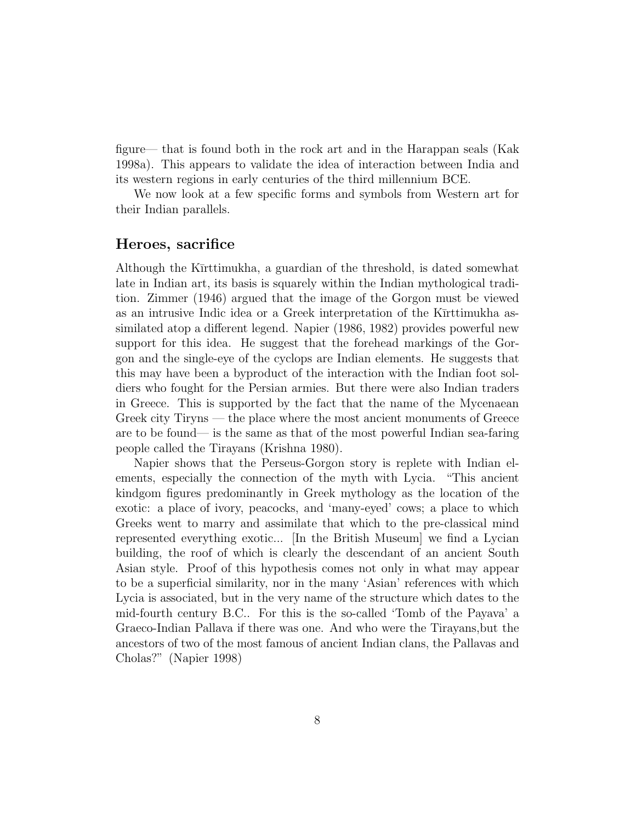figure— that is found both in the rock art and in the Harappan seals (Kak 1998a). This appears to validate the idea of interaction between India and its western regions in early centuries of the third millennium BCE.

We now look at a few specific forms and symbols from Western art for their Indian parallels.

#### **Heroes, sacrifice**

Although the K $\overline{\text{Trttim}}$ ukha, a guardian of the threshold, is dated somewhat late in Indian art, its basis is squarely within the Indian mythological tradition. Zimmer (1946) argued that the image of the Gorgon must be viewed as an intrusive Indic idea or a Greek interpretation of the Kūrttimukha assimilated atop a different legend. Napier (1986, 1982) provides powerful new support for this idea. He suggest that the forehead markings of the Gorgon and the single-eye of the cyclops are Indian elements. He suggests that this may have been a byproduct of the interaction with the Indian foot soldiers who fought for the Persian armies. But there were also Indian traders in Greece. This is supported by the fact that the name of the Mycenaean Greek city Tiryns — the place where the most ancient monuments of Greece are to be found— is the same as that of the most powerful Indian sea-faring people called the Tirayans (Krishna 1980).

Napier shows that the Perseus-Gorgon story is replete with Indian elements, especially the connection of the myth with Lycia. "This ancient kindgom figures predominantly in Greek mythology as the location of the exotic: a place of ivory, peacocks, and 'many-eyed' cows; a place to which Greeks went to marry and assimilate that which to the pre-classical mind represented everything exotic... [In the British Museum] we find a Lycian building, the roof of which is clearly the descendant of an ancient South Asian style. Proof of this hypothesis comes not only in what may appear to be a superficial similarity, nor in the many 'Asian' references with which Lycia is associated, but in the very name of the structure which dates to the mid-fourth century B.C.. For this is the so-called 'Tomb of the Payava' a Graeco-Indian Pallava if there was one. And who were the Tirayans,but the ancestors of two of the most famous of ancient Indian clans, the Pallavas and Cholas?" (Napier 1998)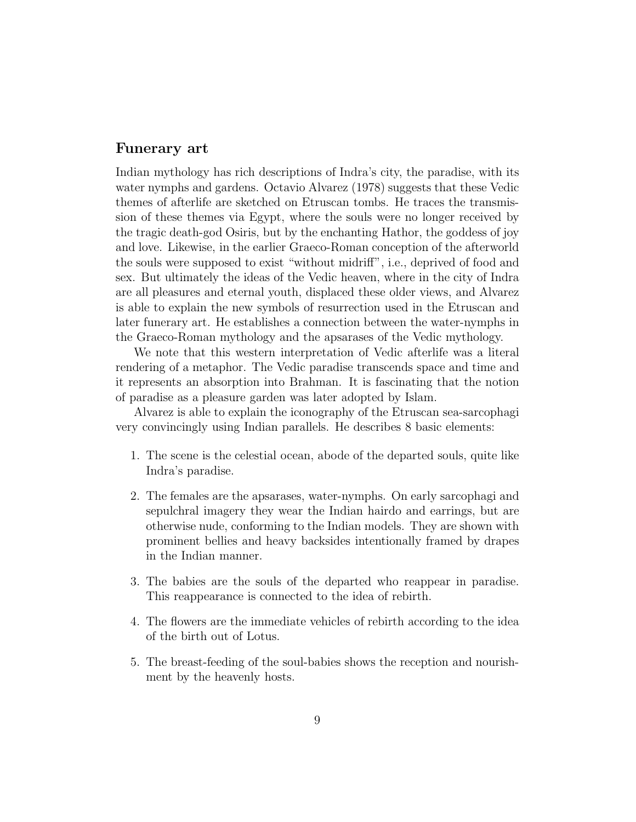#### **Funerary art**

Indian mythology has rich descriptions of Indra's city, the paradise, with its water nymphs and gardens. Octavio Alvarez (1978) suggests that these Vedic themes of afterlife are sketched on Etruscan tombs. He traces the transmission of these themes via Egypt, where the souls were no longer received by the tragic death-god Osiris, but by the enchanting Hathor, the goddess of joy and love. Likewise, in the earlier Graeco-Roman conception of the afterworld the souls were supposed to exist "without midriff", i.e., deprived of food and sex. But ultimately the ideas of the Vedic heaven, where in the city of Indra are all pleasures and eternal youth, displaced these older views, and Alvarez is able to explain the new symbols of resurrection used in the Etruscan and later funerary art. He establishes a connection between the water-nymphs in the Graeco-Roman mythology and the apsarases of the Vedic mythology.

We note that this western interpretation of Vedic afterlife was a literal rendering of a metaphor. The Vedic paradise transcends space and time and it represents an absorption into Brahman. It is fascinating that the notion of paradise as a pleasure garden was later adopted by Islam.

Alvarez is able to explain the iconography of the Etruscan sea-sarcophagi very convincingly using Indian parallels. He describes 8 basic elements:

- 1. The scene is the celestial ocean, abode of the departed souls, quite like Indra's paradise.
- 2. The females are the apsarases, water-nymphs. On early sarcophagi and sepulchral imagery they wear the Indian hairdo and earrings, but are otherwise nude, conforming to the Indian models. They are shown with prominent bellies and heavy backsides intentionally framed by drapes in the Indian manner.
- 3. The babies are the souls of the departed who reappear in paradise. This reappearance is connected to the idea of rebirth.
- 4. The flowers are the immediate vehicles of rebirth according to the idea of the birth out of Lotus.
- 5. The breast-feeding of the soul-babies shows the reception and nourishment by the heavenly hosts.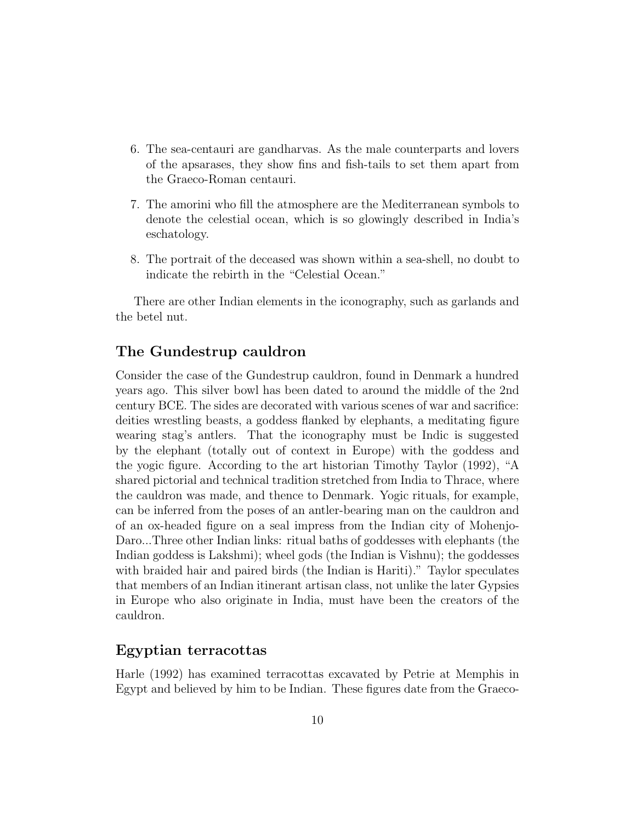- 6. The sea-centauri are gandharvas. As the male counterparts and lovers of the apsarases, they show fins and fish-tails to set them apart from the Graeco-Roman centauri.
- 7. The amorini who fill the atmosphere are the Mediterranean symbols to denote the celestial ocean, which is so glowingly described in India's eschatology.
- 8. The portrait of the deceased was shown within a sea-shell, no doubt to indicate the rebirth in the "Celestial Ocean."

There are other Indian elements in the iconography, such as garlands and the betel nut.

#### **The Gundestrup cauldron**

Consider the case of the Gundestrup cauldron, found in Denmark a hundred years ago. This silver bowl has been dated to around the middle of the 2nd century BCE. The sides are decorated with various scenes of war and sacrifice: deities wrestling beasts, a goddess flanked by elephants, a meditating figure wearing stag's antlers. That the iconography must be Indic is suggested by the elephant (totally out of context in Europe) with the goddess and the yogic figure. According to the art historian Timothy Taylor (1992), "A shared pictorial and technical tradition stretched from India to Thrace, where the cauldron was made, and thence to Denmark. Yogic rituals, for example, can be inferred from the poses of an antler-bearing man on the cauldron and of an ox-headed figure on a seal impress from the Indian city of Mohenjo-Daro...Three other Indian links: ritual baths of goddesses with elephants (the Indian goddess is Lakshmi); wheel gods (the Indian is Vishnu); the goddesses with braided hair and paired birds (the Indian is Hariti)." Taylor speculates that members of an Indian itinerant artisan class, not unlike the later Gypsies in Europe who also originate in India, must have been the creators of the cauldron.

#### **Egyptian terracottas**

Harle (1992) has examined terracottas excavated by Petrie at Memphis in Egypt and believed by him to be Indian. These figures date from the Graeco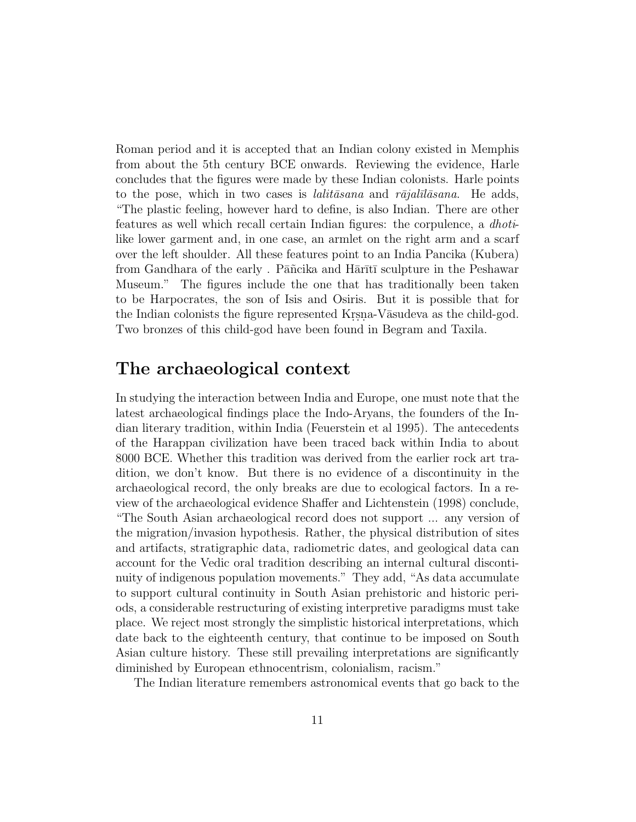Roman period and it is accepted that an Indian colony existed in Memphis from about the 5th century BCE onwards. Reviewing the evidence, Harle concludes that the figures were made by these Indian colonists. Harle points to the pose, which in two cases is *lalit* $\bar{a}$ sana and r $\bar{a}$ jal $\bar{a}$ lasana. He adds, "The plastic feeling, however hard to define, is also Indian. There are other features as well which recall certain Indian figures: the corpulence, a dhotilike lower garment and, in one case, an armlet on the right arm and a scarf over the left shoulder. All these features point to an India Pancika (Kubera) from Gandhara of the early . Pāñcika and Hārītī sculpture in the Peshawar Museum." The figures include the one that has traditionally been taken to be Harpocrates, the son of Isis and Osiris. But it is possible that for the Indian colonists the figure represented Kr.s.n. Vāsudeva as the child-god. Two bronzes of this child-god have been found in Begram and Taxila.

## **The archaeological context**

In studying the interaction between India and Europe, one must note that the latest archaeological findings place the Indo-Aryans, the founders of the Indian literary tradition, within India (Feuerstein et al 1995). The antecedents of the Harappan civilization have been traced back within India to about 8000 BCE. Whether this tradition was derived from the earlier rock art tradition, we don't know. But there is no evidence of a discontinuity in the archaeological record, the only breaks are due to ecological factors. In a review of the archaeological evidence Shaffer and Lichtenstein (1998) conclude, "The South Asian archaeological record does not support ... any version of the migration/invasion hypothesis. Rather, the physical distribution of sites and artifacts, stratigraphic data, radiometric dates, and geological data can account for the Vedic oral tradition describing an internal cultural discontinuity of indigenous population movements." They add, "As data accumulate to support cultural continuity in South Asian prehistoric and historic periods, a considerable restructuring of existing interpretive paradigms must take place. We reject most strongly the simplistic historical interpretations, which date back to the eighteenth century, that continue to be imposed on South Asian culture history. These still prevailing interpretations are significantly diminished by European ethnocentrism, colonialism, racism."

The Indian literature remembers astronomical events that go back to the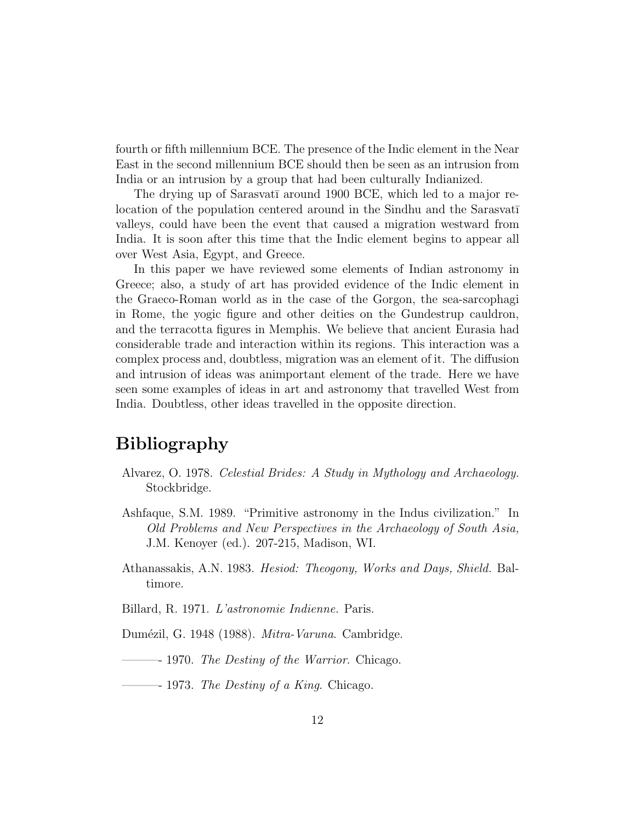fourth or fifth millennium BCE. The presence of the Indic element in the Near East in the second millennium BCE should then be seen as an intrusion from India or an intrusion by a group that had been culturally Indianized.

The drying up of Sarasvatī around 1900 BCE, which led to a major relocation of the population centered around in the Sindhu and the Sarasvati valleys, could have been the event that caused a migration westward from India. It is soon after this time that the Indic element begins to appear all over West Asia, Egypt, and Greece.

In this paper we have reviewed some elements of Indian astronomy in Greece; also, a study of art has provided evidence of the Indic element in the Graeco-Roman world as in the case of the Gorgon, the sea-sarcophagi in Rome, the yogic figure and other deities on the Gundestrup cauldron, and the terracotta figures in Memphis. We believe that ancient Eurasia had considerable trade and interaction within its regions. This interaction was a complex process and, doubtless, migration was an element of it. The diffusion and intrusion of ideas was animportant element of the trade. Here we have seen some examples of ideas in art and astronomy that travelled West from India. Doubtless, other ideas travelled in the opposite direction.

# **Bibliography**

- Alvarez, O. 1978. Celestial Brides: A Study in Mythology and Archaeology. Stockbridge.
- Ashfaque, S.M. 1989. "Primitive astronomy in the Indus civilization." In Old Problems and New Perspectives in the Archaeology of South Asia, J.M. Kenoyer (ed.). 207-215, Madison, WI.
- Athanassakis, A.N. 1983. Hesiod: Theogony, Works and Days, Shield. Baltimore.
- Billard, R. 1971. L'astronomie Indienne. Paris.
- Dumézil, G. 1948 (1988). *Mitra-Varuna*. Cambridge.
- ———- 1970. The Destiny of the Warrior. Chicago.
- —— 1973. *The Destiny of a King.* Chicago.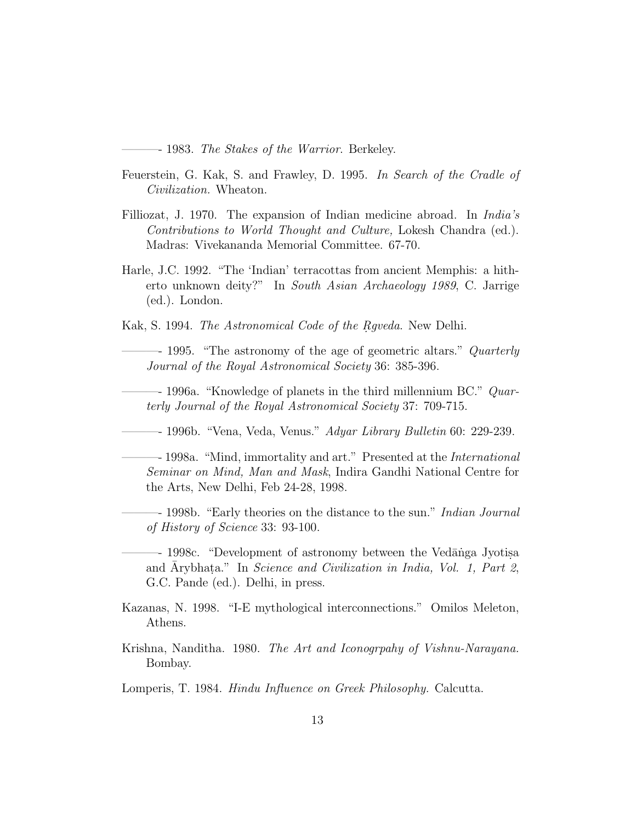– 1983. *The Stakes of the Warrior*. Berkeley.

- Feuerstein, G. Kak, S. and Frawley, D. 1995. In Search of the Cradle of Civilization. Wheaton.
- Filliozat, J. 1970. The expansion of Indian medicine abroad. In India's Contributions to World Thought and Culture, Lokesh Chandra (ed.). Madras: Vivekananda Memorial Committee. 67-70.
- Harle, J.C. 1992. "The 'Indian' terracottas from ancient Memphis: a hitherto unknown deity?" In South Asian Archaeology 1989, C. Jarrige (ed.). London.
- Kak, S. 1994. The Astronomical Code of the Rqveda. New Delhi.

– 1995. "The astronomy of the age of geometric altars." Quarterly Journal of the Royal Astronomical Society 36: 385-396.

 $-$  1996a. "Knowledge of planets in the third millennium BC."  $Quar$ terly Journal of the Royal Astronomical Society 37: 709-715.

—– 1996b. "Vena, Veda, Venus." *Adyar Library Bulletin* 60: 229-239.

– 1998a. "Mind, immortality and art." Presented at the *International* Seminar on Mind, Man and Mask, Indira Gandhi National Centre for the Arts, New Delhi, Feb 24-28, 1998.

- 1998b. "Early theories on the distance to the sun." Indian Journal of History of Science 33: 93-100.

- 1998c. "Development of astronomy between the Vedānga Jyotisa and Arybhata." In Science and Civilization in India, Vol. 1, Part 2, G.C. Pande (ed.). Delhi, in press.
- Kazanas, N. 1998. "I-E mythological interconnections." Omilos Meleton, Athens.
- Krishna, Nanditha. 1980. The Art and Iconogrpahy of Vishnu-Narayana. Bombay.

Lomperis, T. 1984. Hindu Influence on Greek Philosophy. Calcutta.